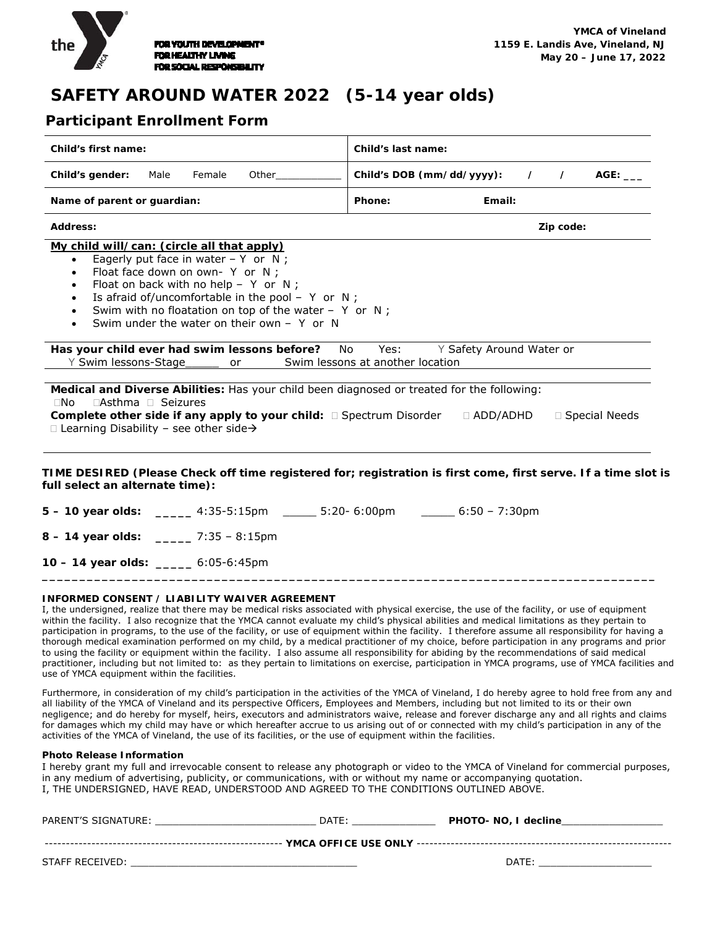

# **SAFETY AROUND WATER 2022 (5-14 year olds)**

## **Participant Enrollment Form**

| Child's first name:                                                                                                                                                                                                                                                                                                                                                                                              | Child's last name:                                                                                             |  |
|------------------------------------------------------------------------------------------------------------------------------------------------------------------------------------------------------------------------------------------------------------------------------------------------------------------------------------------------------------------------------------------------------------------|----------------------------------------------------------------------------------------------------------------|--|
| Female<br>Other<br>Child's gender:<br>Male                                                                                                                                                                                                                                                                                                                                                                       | Child's DOB (mm/dd/yyyy):<br>AGE:<br>$\prime$<br>$\prime$                                                      |  |
| Name of parent or guardian:                                                                                                                                                                                                                                                                                                                                                                                      | Phone:<br>Email:                                                                                               |  |
| <b>Address:</b>                                                                                                                                                                                                                                                                                                                                                                                                  | Zip code:                                                                                                      |  |
| My child will/can: (circle all that apply)<br>Eagerly put face in water $- Y$ or N;<br>$\bullet$<br>Float face down on own- Y or N;<br>$\bullet$<br>Float on back with no help - Y or N;<br>$\bullet$<br>Is afraid of/uncomfortable in the pool - $Y$ or $N$ ;<br>$\bullet$<br>Swim with no floatation on top of the water - $Y$ or N;<br>$\bullet$<br>Swim under the water on their own $-$ Y or N<br>$\bullet$ |                                                                                                                |  |
| Has your child ever had swim lessons before?<br>No.<br>Y Swim lessons-Stage or Swim lessons at another location                                                                                                                                                                                                                                                                                                  | Yes:<br>Y Safety Around Water or                                                                               |  |
| Medical and Diverse Abilities: Has your child been diagnosed or treated for the following:<br>$\Box$ Asthma $\Box$ Seizures<br>$\Box$ No<br>Complete other side if any apply to your child: □ Spectrum Disorder<br>$\Box$ Learning Disability - see other side $\rightarrow$                                                                                                                                     | $\Box$ ADD/ADHD<br>□ Special Needs                                                                             |  |
| full select an alternate time):                                                                                                                                                                                                                                                                                                                                                                                  | TIME DESIRED (Please Check off time registered for; registration is first come, first serve. If a time slot is |  |
| 5 - 10 year olds: ______ 4:35-5:15pm  ______ 5:20- 6:00pm   ______ 6:50 - 7:30pm                                                                                                                                                                                                                                                                                                                                 |                                                                                                                |  |
| $8 - 14$ year olds: ______ 7:35 - 8:15pm                                                                                                                                                                                                                                                                                                                                                                         |                                                                                                                |  |
| __ 6:05-6:45pm<br>$10 - 14$ year olds:                                                                                                                                                                                                                                                                                                                                                                           |                                                                                                                |  |

#### **INFORMED CONSENT / LIABILITY WAIVER AGREEMENT**

I, the undersigned, realize that there may be medical risks associated with physical exercise, the use of the facility, or use of equipment within the facility. I also recognize that the YMCA cannot evaluate my child's physical abilities and medical limitations as they pertain to participation in programs, to the use of the facility, or use of equipment within the facility. I therefore assume all responsibility for having a thorough medical examination performed on my child, by a medical practitioner of my choice, before participation in any programs and prior to using the facility or equipment within the facility. I also assume all responsibility for abiding by the recommendations of said medical practitioner, including but not limited to: as they pertain to limitations on exercise, participation in YMCA programs, use of YMCA facilities and use of YMCA equipment within the facilities.

**\_\_\_\_\_\_\_\_\_\_\_\_\_\_\_\_\_\_\_\_\_\_\_\_\_\_\_\_\_\_\_\_\_\_\_\_\_\_\_\_\_\_\_\_\_\_\_\_\_\_\_\_\_\_\_\_\_\_\_\_\_\_\_\_\_\_\_\_\_\_\_\_\_\_\_\_\_\_\_\_\_\_** 

Furthermore, in consideration of my child's participation in the activities of the YMCA of Vineland, I do hereby agree to hold free from any and all liability of the YMCA of Vineland and its perspective Officers, Employees and Members, including but not limited to its or their own negligence; and do hereby for myself, heirs, executors and administrators waive, release and forever discharge any and all rights and claims for damages which my child may have or which hereafter accrue to us arising out of or connected with my child's participation in any of the activities of the YMCA of Vineland, the use of its facilities, or the use of equipment within the facilities.

#### **Photo Release Information**

I hereby grant my full and irrevocable consent to release any photograph or video to the YMCA of Vineland for commercial purposes, in any medium of advertising, publicity, or communications, with or without my name or accompanying quotation. I, THE UNDERSIGNED, HAVE READ, UNDERSTOOD AND AGREED TO THE CONDITIONS OUTLINED ABOVE.

| PARENT'S SIGNATURE: | DATE: | PHOTO- NO, I decline |  |
|---------------------|-------|----------------------|--|
|                     |       |                      |  |
| STAFF RECEIVED:     |       | DATE                 |  |